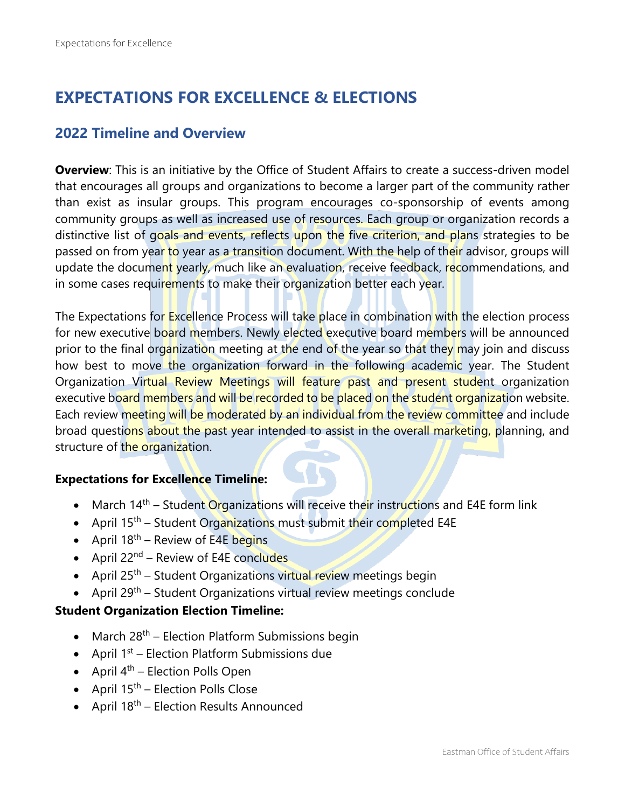# **EXPECTATIONS FOR EXCELLENCE & ELECTIONS**

# **2022 Timeline and Overview**

**Overview**: This is an initiative by the Office of Student Affairs to create a success-driven model that encourages all groups and organizations to become a larger part of the community rather than exist as insular groups. This program encourages co-sponsorship of events among community groups as well as increased use of resources. Each group or organization records a distinctive list of goals and events, reflects upon the five criterion, and plans strategies to be passed on from year to year as a transition document. With the help of their advisor, groups will update the document yearly, much like an evaluation, receive feedback, recommendations, and in some cases requirements to make their organization better each year.

The Expectations for Excellence Process will take place in combination with the election process for new executive board members. Newly elected executive board members will be announced prior to the final organization meeting at the end of the year so that they may join and discuss how best to move the organization forward in the following academic year. The Student Organization Virtual Review Meetings will feature past and present student organization executive board members and will be recorded to be placed on the student organization website. Each review meeting will be moderated by an individual from the review committee and include broad questions about the past year intended to assist in the overall marketing, planning, and structure of the organization.

# **Expectations for Excellence Timeline:**

- March  $14<sup>th</sup>$  Student Organizations will receive their instructions and E4E form link
- April 15<sup>th</sup> Student Organizations must submit their completed E4E
- April  $18^{th}$  Review of E4E begins
- April  $22^{nd}$  Review of E4E concludes
- April 25<sup>th</sup> Student Organizations virtual review meetings begin
- April  $29^{th}$  Student Organizations virtual review meetings conclude

### **Student Organization Election Timeline:**

- March  $28<sup>th</sup>$  Election Platform Submissions begin
- April  $1<sup>st</sup>$  Election Platform Submissions due
- April  $4^{th}$  Election Polls Open
- April  $15<sup>th</sup>$  Election Polls Close
- April  $18^{th}$  Election Results Announced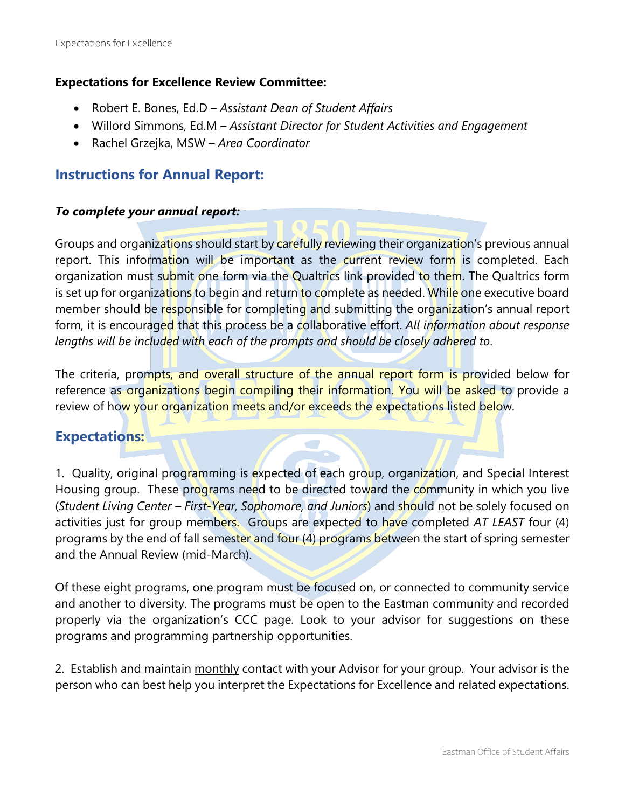### **Expectations for Excellence Review Committee:**

- Robert E. Bones, Ed.D *Assistant Dean of Student Affairs*
- Willord Simmons, Ed.M *Assistant Director for Student Activities and Engagement*
- Rachel Grzejka, MSW *Area Coordinator*

# **Instructions for Annual Report:**

### *To complete your annual report:*

Groups and organizations should start by carefully reviewing their organization's previous annual report. This information will be important as the current review form is completed. Each organization must submit one form via the Qualtrics link provided to them. The Qualtrics form is set up for organizations to begin and return to complete as needed. While one executive board member should be responsible for completing and submitting the organization's annual report form, it is encouraged that this process be a collaborative effort. *All information about response lengths will be included with each of the prompts and should be closely adhered to*.

The criteria, prompts, and overall structure of the annual report form is provided below for reference as organizations begin compiling their information. You will be asked to provide a review of how your organization meets and/or exceeds the expectations listed below.

# **Expectations:**

1. Quality, original programming is expected of each group, organization, and Special Interest Housing group. These programs need to be directed toward the community in which you live (*Student Living Center – First-Year, Sophomore, and Juniors*) and should not be solely focused on activities just for group members. Groups are expected to have completed *AT LEAST* four (4) programs by the end of fall semester and four (4) programs between the start of spring semester and the Annual Review (mid-March).

Of these eight programs, one program must be focused on, or connected to community service and another to diversity. The programs must be open to the Eastman community and recorded properly via the organization's CCC page. Look to your advisor for suggestions on these programs and programming partnership opportunities.

2. Establish and maintain monthly contact with your Advisor for your group. Your advisor is the person who can best help you interpret the Expectations for Excellence and related expectations.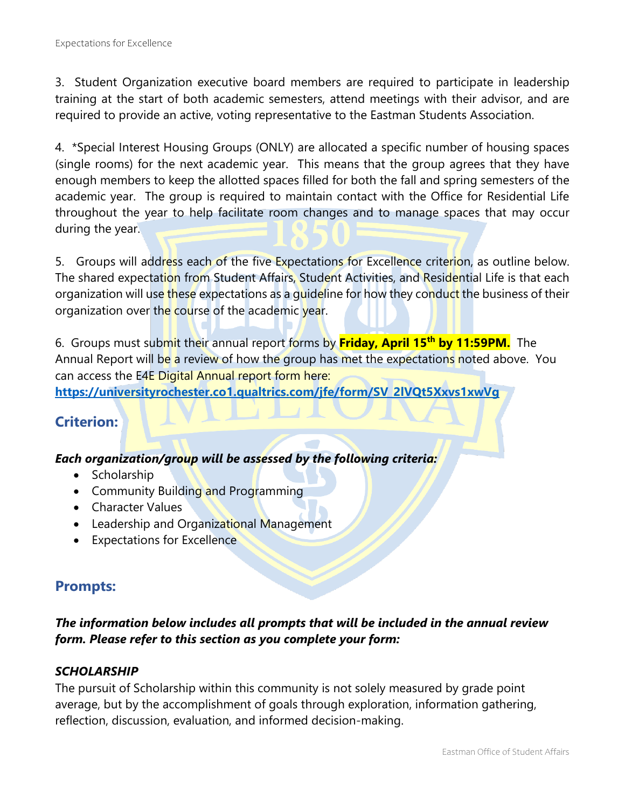3. Student Organization executive board members are required to participate in leadership training at the start of both academic semesters, attend meetings with their advisor, and are required to provide an active, voting representative to the Eastman Students Association.

4. \*Special Interest Housing Groups (ONLY) are allocated a specific number of housing spaces (single rooms) for the next academic year. This means that the group agrees that they have enough members to keep the allotted spaces filled for both the fall and spring semesters of the academic year. The group is required to maintain contact with the Office for Residential Life throughout the year to help facilitate room changes and to manage spaces that may occur during the year.

5. Groups will address each of the five Expectations for Excellence criterion, as outline below. The shared expectation from Student Affairs, Student Activities, and Residential Life is that each organization will use these expectations as a quideline for how they conduct the business of their organization over the course of the academic year.

6. Groups must submit their annual report forms by **Friday, April 15th by 11:59PM.** The Annual Report will be a review of how the group has met the expectations noted above. You can access the E4E Digital Annual report form here:

**[https://universityrochester.co1.qualtrics.com/jfe/form/SV\\_2lVQt5Xxvs1xwVg](https://universityrochester.co1.qualtrics.com/jfe/form/SV_2lVQt5Xxvs1xwVg)**

# **Criterion:**

# *Each organization/group will be assessed by the following criteria:*

- Scholarship
- Community Building and Programming
- Character Values
- Leadership and Organizational Management
- Expectations for Excellence

# **Prompts:**

# *The information below includes all prompts that will be included in the annual review form. Please refer to this section as you complete your form:*

# *SCHOLARSHIP*

The pursuit of Scholarship within this community is not solely measured by grade point average, but by the accomplishment of goals through exploration, information gathering, reflection, discussion, evaluation, and informed decision-making.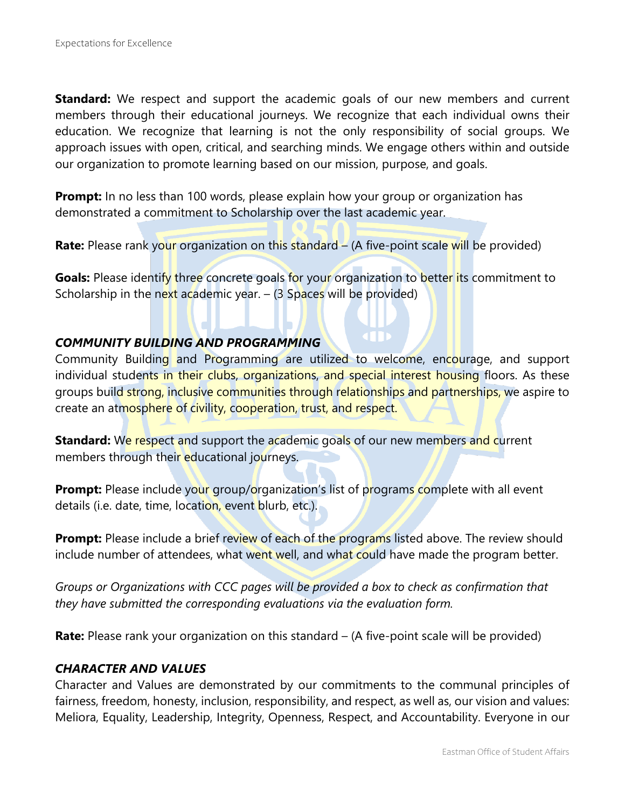**Standard:** We respect and support the academic goals of our new members and current members through their educational journeys. We recognize that each individual owns their education. We recognize that learning is not the only responsibility of social groups. We approach issues with open, critical, and searching minds. We engage others within and outside our organization to promote learning based on our mission, purpose, and goals.

**Prompt:** In no less than 100 words, please explain how your group or organization has demonstrated a commitment to Scholarship over the last academic year.

**Rate:** Please rank your organization on this standard – (A five-point scale will be provided)

Goals: Please identify three concrete goals for your organization to better its commitment to Scholarship in the next academic year.  $-$  (3 Spaces will be provided)

### *COMMUNITY BUILDING AND PROGRAMMING*

Community Building and Programming are utilized to welcome, encourage, and support individual students in their clubs, organizations, and special interest housing floors. As these groups build strong, inclusive communities through relationships and partnerships, we aspire to create an atmosphere of civility, cooperation, trust, and respect.

**Standard:** We respect and support the academic goals of our new members and current members through their educational journeys.

**Prompt:** Please include your group/organization's list of programs complete with all event details (i.e. date, time, location, event blurb, etc.).

**Prompt:** Please include a brief review of each of the programs listed above. The review should include number of attendees, what went well, and what could have made the program better.

*Groups or Organizations with CCC pages will be provided a box to check as confirmation that they have submitted the corresponding evaluations via the evaluation form.*

**Rate:** Please rank your organization on this standard – (A five-point scale will be provided)

### *CHARACTER AND VALUES*

Character and Values are demonstrated by our commitments to the communal principles of fairness, freedom, honesty, inclusion, responsibility, and respect, as well as, our vision and values: Meliora, Equality, Leadership, Integrity, Openness, Respect, and Accountability. Everyone in our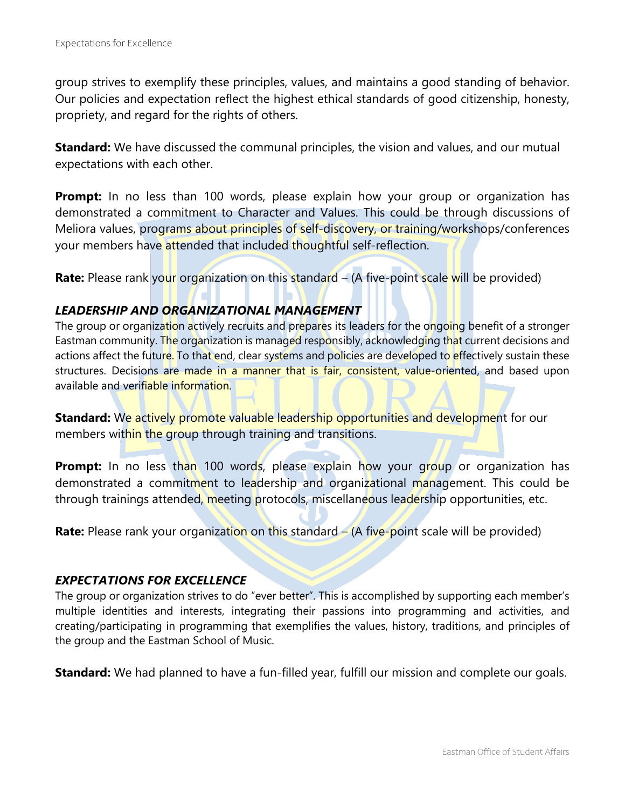group strives to exemplify these principles, values, and maintains a good standing of behavior. Our policies and expectation reflect the highest ethical standards of good citizenship, honesty, propriety, and regard for the rights of others.

**Standard:** We have discussed the communal principles, the vision and values, and our mutual expectations with each other.

**Prompt:** In no less than 100 words, please explain how your group or organization has demonstrated a commitment to Character and Values. This could be through discussions of Meliora values, programs about principles of self-discovery, or training/workshops/conferences your members have attended that included thoughtful self-reflection.

**Rate:** Please rank your organization on this standard – (A five-point scale will be provided)

### *LEADERSHIP AND ORGANIZATIONAL MANAGEMENT*

The group or organization actively recruits and prepares its leaders for the ongoing benefit of a stronger Eastman community. The organization is managed responsibly, acknowledging that current decisions and actions affect the future. To that end, clear systems and policies are developed to effectively sustain these structures. Decisions are made in a manner that is fair, consistent, value-oriented, and based upon available and verifiable information.

**Standard:** We actively promote valuable leadership opportunities and development for our members within the group through training and transitions.

**Prompt:** In no less than 100 words, please explain how your group or organization has demonstrated a commitment to leadership and organizational management. This could be through trainings attended, meeting protocols, miscellaneous leadership opportunities, etc.

**Rate:** Please rank your organization on this standard – (A five-point scale will be provided)

### *EXPECTATIONS FOR EXCELLENCE*

The group or organization strives to do "ever better". This is accomplished by supporting each member's multiple identities and interests, integrating their passions into programming and activities, and creating/participating in programming that exemplifies the values, history, traditions, and principles of the group and the Eastman School of Music.

**Standard:** We had planned to have a fun-filled year, fulfill our mission and complete our goals.